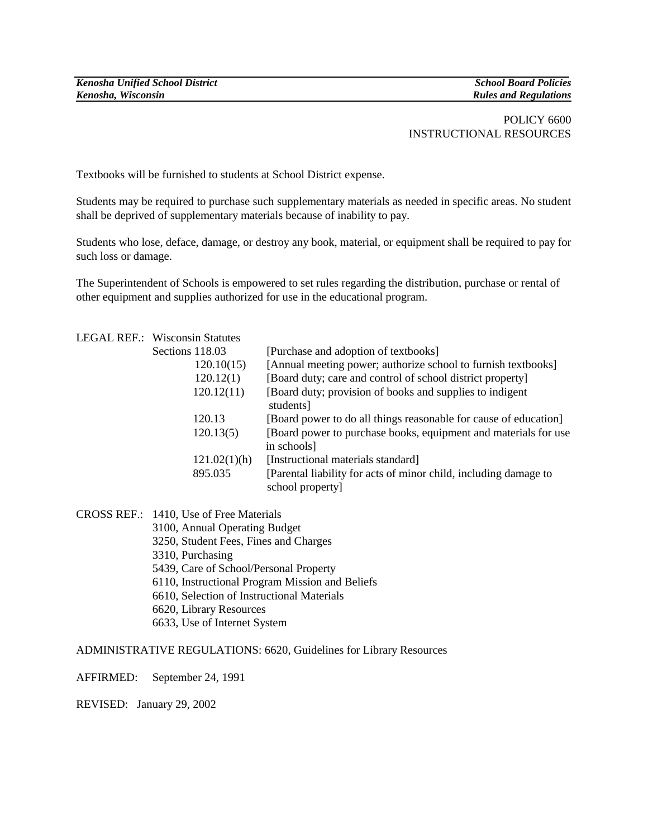## POLICY 6600 INSTRUCTIONAL RESOURCES

Textbooks will be furnished to students at School District expense.

Students may be required to purchase such supplementary materials as needed in specific areas. No student shall be deprived of supplementary materials because of inability to pay.

Students who lose, deface, damage, or destroy any book, material, or equipment shall be required to pay for such loss or damage.

The Superintendent of Schools is empowered to set rules regarding the distribution, purchase or rental of other equipment and supplies authorized for use in the educational program.

|  | <b>LEGAL REF.: Wisconsin Statutes</b> |                                                                                     |
|--|---------------------------------------|-------------------------------------------------------------------------------------|
|  | Sections 118.03                       | [Purchase and adoption of textbooks]                                                |
|  | 120.10(15)                            | [Annual meeting power; authorize school to furnish textbooks]                       |
|  | 120.12(1)                             | [Board duty; care and control of school district property]                          |
|  | 120.12(11)                            | [Board duty; provision of books and supplies to indigent<br>students]               |
|  | 120.13                                | [Board power to do all things reasonable for cause of education]                    |
|  | 120.13(5)                             | [Board power to purchase books, equipment and materials for use]                    |
|  |                                       | in schools]                                                                         |
|  | 121.02(1)(h)                          | [Instructional materials standard]                                                  |
|  | 895.035                               | [Parental liability for acts of minor child, including damage to<br>school property |

CROSS REF.: 1410, Use of Free Materials

- 3100, Annual Operating Budget
- 3250, Student Fees, Fines and Charges
- 3310, Purchasing
- 5439, Care of School/Personal Property
- 6110, Instructional Program Mission and Beliefs
- 6610, Selection of Instructional Materials
- 6620, Library Resources
- 6633, Use of Internet System

ADMINISTRATIVE REGULATIONS: 6620, Guidelines for Library Resources

AFFIRMED: September 24, 1991

REVISED: January 29, 2002